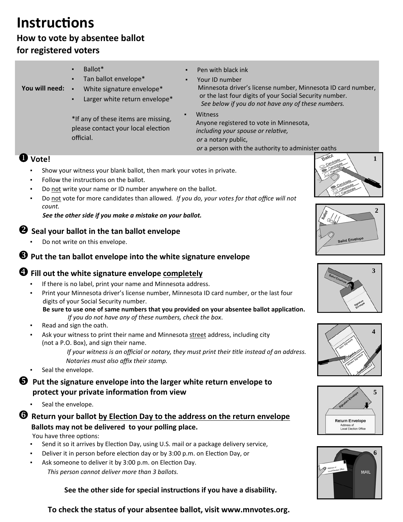# **InstrucƟons**

## **How to vote by absentee ballot for registered voters**

| You will need: | Ballot <sup>*</sup><br>Tan ballot envelope*<br>$\blacksquare$<br>White signature envelope*<br>Larger white return envelope* | ٠ | Pen with black ink<br>Your ID number<br>Minnesota driver's license number, Minnesota ID card number,<br>or the last four digits of your Social Security number.<br>See below if you do not have any of these numbers. |
|----------------|-----------------------------------------------------------------------------------------------------------------------------|---|-----------------------------------------------------------------------------------------------------------------------------------------------------------------------------------------------------------------------|
|                | *If any of these items are missing,<br>please contact your local election<br>official.                                      |   | Witness<br>Anyone registered to vote in Minnesota,<br>including your spouse or relative,<br>or a notary public.<br>or a person with the authority to administer oaths                                                 |
| Vote!          |                                                                                                                             |   |                                                                                                                                                                                                                       |
|                | Show your witness your blank ballot, then mark your votes in private.                                                       |   |                                                                                                                                                                                                                       |

- Follow the instructions on the ballot.
- Do not write your name or ID number anywhere on the ballot.
- Do not vote for more candidates than allowed*. If you do, your votes for that office will not count.*

#### *See the other side if you make a mistake on your ballot.*

#### **Seal your ballot in the tan ballot envelope**

Do not write on this envelope.

## **Put the tan ballot envelope into the white signature envelope**

## **Fill out the white signature envelope completely**

- If there is no label, print your name and Minnesota address.
- Print your Minnesota driver's license number, Minnesota ID card number, or the last four digits of your Social Security number.

**Be sure to use one of same numbers that you provided on your absentee ballot applicaƟon.** *If you do not have any of these numbers, check the box*.

- Read and sign the oath.
- Ask your witness to print their name and Minnesota street address, including city (not a P.O. Box), and sign their name.

*If your witness is an official or notary, they must print their title instead of an address. Notaries must also affix their stamp.*

- Seal the envelope.
- **Put the signature envelope into the larger white return envelope to protect your private informaƟon from view**
	- Seal the envelope.

## **A** Return your ballot by Election Day to the address on the return envelope **Ballots may not be delivered to your polling place.**

You have three options:

- Send it so it arrives by Election Day, using U.S. mail or a package delivery service,
- Deliver it in person before election day or by 3:00 p.m. on Election Day, or
- Ask someone to deliver it by 3:00 p.m. on Election Day. *This person cannot deliver more than 3 ballots.*

 **See the other side for special instrucƟons if you have a disability.**

**1** 











**To check the status of your absentee ballot, visit www.mnvotes.org.**